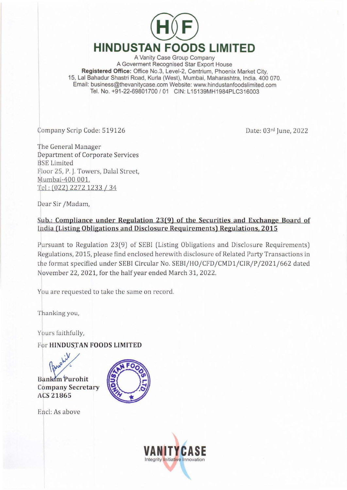

A Vanity Case Group Company A Goverment Recognised Star Export House Registered Office: Office No.3, Level-2, Centrium, Phoenix Market City, 15, Lal Bahadur Shastri Road, Kurla (West), Mumbai, Maharashtra, India, 400 070. Email: business@thevanitycase.com Website: www.hindustanfoodslimited.com Tel. No. +91-22-69801700 / 01 CIN: L15139MH1984PLC316003

Company Scrip Code: 519126

Date: 03rd June, 2022

The General Manager Department of Corporate Services **BSE** Limited Floor 25, P. J. Towers, Dalal Street, Mumbai-400 001. Tel: (022) 2272 1233 / 34

Dear Sir /Madam,

## Sub.: Compliance under Regulation 23(9) of the Securities and Exchange Board of India (Listing Obligations and Disclosure Requirements) Regulations, 2015

Pursuant to Regulation 23(9) of SEBI (Listing Obligations and Disclosure Requirements) Regulations, 2015, please find enclosed herewith disclosure of Related Party Transactions in the format specified under SEBI Circular No. SEBI/HO/CFD/CMD1/CIR/P/2021/662 dated November 22, 2021, for the half year ended March 31, 2022.

You are requested to take the same on record.

Thanking you,

Yours faithfully,

For HINDUSTAN FOODS LIMITED

**Bankim** Purohit **Company Secretary** ACS 21865



Encl: As above

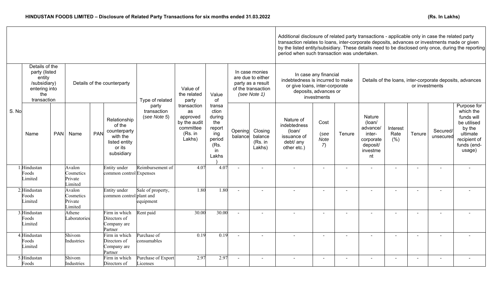|       | Details of the<br>party (listed<br>entity<br>/subsidiary)<br>entering into<br>the<br>transaction |            | Details of the counterparty               |     |                                                                                             | Type of related                      | Value of<br>the related<br>party                                                | Value<br>of                                                                        | In case monies<br>are due to either<br>party as a result<br>of the transaction<br>(see Note 1) |                                         | In case any financial<br>indebtedness is incurred to make<br>Details of the loans, inter-corporate deposits, advances<br>or give loans, inter-corporate<br>or investments<br>deposits, advances or<br>investments |                                   |                          |                                                                                          |                          |        |                          |                                                                                                                      |
|-------|--------------------------------------------------------------------------------------------------|------------|-------------------------------------------|-----|---------------------------------------------------------------------------------------------|--------------------------------------|---------------------------------------------------------------------------------|------------------------------------------------------------------------------------|------------------------------------------------------------------------------------------------|-----------------------------------------|-------------------------------------------------------------------------------------------------------------------------------------------------------------------------------------------------------------------|-----------------------------------|--------------------------|------------------------------------------------------------------------------------------|--------------------------|--------|--------------------------|----------------------------------------------------------------------------------------------------------------------|
| S. No | Name                                                                                             | <b>PAN</b> | Name                                      | PAN | Relationship<br>of the<br>counterparty<br>with the<br>listed entity<br>or its<br>subsidiary | party<br>transaction<br>(see Note 5) | transaction<br>as<br>approved<br>by the audit<br>committee<br>(Rs. in<br>Lakhs) | transa<br>ction<br>during<br>the<br>report<br>ing<br>period<br>(Rs.<br>in<br>Lakhs | Opening<br>balance                                                                             | Closing<br>balance<br>(Rs. in<br>Lakhs) | Nature of<br>indebtedness<br>(loan/<br>issuance of<br>debt/ any<br>other etc.)                                                                                                                                    | Cost<br>(see<br><b>Note</b><br>7) | Tenure                   | <b>Nature</b><br>(loan/<br>advance/<br>inter-<br>corporate<br>deposit/<br>investme<br>nt | Interest<br>Rate<br>(% ) | Tenure | Secured/<br>unsecured    | Purpose for<br>which the<br>funds will<br>be utilised<br>by the<br>ultimate<br>recipient of<br>funds (end-<br>usage) |
|       | 1.Hindustan<br>Foods<br>Limited                                                                  |            | Avalon<br>Cosmetics<br>Private<br>Limited |     | Entity under<br>common control Expenses                                                     | Reimbursement of                     | 4.07                                                                            | 4.07                                                                               |                                                                                                |                                         |                                                                                                                                                                                                                   |                                   |                          |                                                                                          |                          |        |                          |                                                                                                                      |
|       | 2. Hindustan<br>Foods<br>Limited                                                                 |            | Avalon<br>Cosmetics<br>Private<br>Limited |     | Entity under<br>common control plant and                                                    | Sale of property,<br>equipment       | 1.80                                                                            | 1.80                                                                               | $\sim$                                                                                         | $\overline{\phantom{0}}$                |                                                                                                                                                                                                                   | $\blacksquare$                    | $\overline{\phantom{a}}$ | $\sim$                                                                                   | $\overline{\phantom{0}}$ | $\sim$ | $\overline{\phantom{a}}$ |                                                                                                                      |
|       | 3. Hindustan<br>Foods<br>Limited                                                                 |            | Athene<br>Laboratories                    |     | Firm in which<br>Directors of<br>Company are<br>Partner                                     | Rent paid                            | 30.00                                                                           | 30.00                                                                              | $\sim$                                                                                         | $\blacksquare$                          |                                                                                                                                                                                                                   | $\overline{\phantom{a}}$          |                          | $\blacksquare$                                                                           |                          | $\sim$ | $\blacksquare$           |                                                                                                                      |
|       | 4.Hindustan<br>Foods<br>Limited                                                                  |            | Shivom<br>Industries                      |     | Firm in which<br>Directors of<br>Company are<br>Partner                                     | Purchase of<br>consumables           | 0.19                                                                            | 0.19                                                                               |                                                                                                | $\overline{\phantom{0}}$                |                                                                                                                                                                                                                   |                                   |                          |                                                                                          | $\overline{\phantom{a}}$ |        | $\overline{\phantom{a}}$ |                                                                                                                      |
|       | 5.Hindustan<br>Foods                                                                             |            | Shivom<br>Industries                      |     | Firm in which<br>Directors of                                                               | Purchase of Export<br>icenses        | 2.97                                                                            | 2.97                                                                               | $\overline{a}$                                                                                 | $\sim$                                  | $\sim$                                                                                                                                                                                                            | $\blacksquare$                    | $\sim$                   | $\sim$                                                                                   | $\blacksquare$           | $\sim$ | $\overline{\phantom{a}}$ | $\sim$                                                                                                               |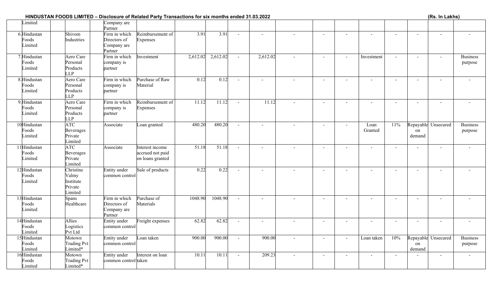## **HINDUSTAN FOODS LIMITED – Disclosure of Related Party Transactions for six months ended 31.03.2022**

| (Rs. In Lakhs) |  |  |  |
|----------------|--|--|--|
|----------------|--|--|--|

| Limited                          |                                                       | Company are<br>Partner                                  |                                                         |          |          |        |                          |                |                          |                |                 |                |                          |                     |                            |
|----------------------------------|-------------------------------------------------------|---------------------------------------------------------|---------------------------------------------------------|----------|----------|--------|--------------------------|----------------|--------------------------|----------------|-----------------|----------------|--------------------------|---------------------|----------------------------|
| 6.Hindustan<br>Foods<br>Limited  | Shivom<br>Industries                                  | Firm in which<br>Directors of<br>Company are<br>Partner | Reimbursement of<br><b>Expenses</b>                     | 3.91     | 3.91     | $\sim$ |                          |                | $\sim$                   | $\sim$         | $\overline{a}$  | $\sim$         | $\overline{a}$           |                     |                            |
| 7. Hindustan<br>Foods<br>Limited | Aero Care<br>Personal<br>Products<br><b>LLP</b>       | Firm in which<br>company is<br>partner                  | Investment                                              | 2,612.02 | 2,612.02 | $\sim$ | 2,612.02                 |                | $\sim$                   | $\blacksquare$ | Investment      | $\sim$         | $\overline{\phantom{a}}$ | $\sim$              | <b>Business</b><br>purpose |
| 8.Hindustan<br>Foods<br>Limited  | Aero Care<br>Personal<br>Products<br><b>LLP</b>       | Firm in which<br>company is<br>partner                  | <b>Purchase of Raw</b><br>Material                      | 0.12     | 0.12     | $\sim$ | $\sim$                   | $\sim$         | $\sim$                   | $\sim$         | $\sim$          | $\sim$         | $\sim$                   | $\sim$              |                            |
| 9. Hindustan<br>Foods<br>Limited | Aero Care<br>Personal<br>Products<br><b>LLP</b>       | Firm in which<br>company is<br>partner                  | Reimbursement of<br>Expenses                            | 11.12    | 11.12    |        | 11.12                    |                | $\sim$                   | $\overline{a}$ |                 | $\overline{a}$ |                          | $\overline{a}$      |                            |
| 10Hindustan<br>Foods<br>Limited  | ATC<br><b>Beverages</b><br>Private<br>Limited         | Associate                                               | Loan granted                                            | 480.20   | 480.20   | $\sim$ | $\sim$                   |                | $\blacksquare$           | $\sim$         | Loan<br>Granted | 11%            | on<br>demand             | Repayable Unsecured | <b>Business</b><br>purpose |
| 11Hindustan<br>Foods<br>Limited  | ATC<br><b>Beverages</b><br>Private<br>Limited         | Associate                                               | Interest income<br>accrued not paid<br>on loans granted | 51.18    | 51.18    | $\sim$ | $\sim$                   |                | $\overline{\phantom{a}}$ | $\overline{a}$ | $\sim$          | $\sim$         | $\sim$                   | $\sim$              |                            |
| 12Hindustan<br>Foods<br>Limited  | Christine<br>Valmy<br>Institute<br>Private<br>Limited | <b>Entity</b> under<br>common control                   | Sale of products                                        | 0.22     | 0.22     |        |                          |                | $\sim$                   | $\overline{a}$ |                 | $\overline{a}$ |                          | $\overline{a}$      |                            |
| 13Hindustan<br>Foods<br>Limited  | Spans<br>Healthcare                                   | Firm in which<br>Directors of<br>Company are<br>Partner | Purchase of<br>Materials                                | 1048.90  | 1048.90  | $\sim$ |                          | $\sim$         | $\sim$                   | $\sim$         |                 | $\sim$         | $\sim$                   | $\blacksquare$      |                            |
| 14Hindustan<br>Foods<br>Limited  | Allies<br>Logistics<br>Pvt Ltd                        | <b>Entity</b> under<br>common control                   | Freight expenses                                        | 62.82    | 62.82    | $\sim$ | $\overline{\phantom{a}}$ | $\blacksquare$ | $\sim$                   | $\blacksquare$ | $\sim$          | $\blacksquare$ | $\overline{\phantom{a}}$ | $\blacksquare$      | $\blacksquare$             |
| 15Hindustan<br>Foods<br>Limited  | Motown<br><b>Trading Pvt</b><br>Limited*              | <b>Entity</b> under<br>common control                   | oan taken                                               | 900.00   | 900.00   | $\sim$ | 900.00                   | $\sim$         | $\overline{\phantom{0}}$ | $\blacksquare$ | Loan taken      | 10%            | on<br>demand             | Repayable Unsecured | <b>Business</b><br>purpose |
| 16Hindustan<br>Foods<br>Limited  | Motown<br><b>Trading Pvt</b><br>Limited*              | Entity under<br>common control taken                    | Interest on loan                                        | 10.11    | 10.11    | $\sim$ | 209.23                   | $\sim$         | $\sim$                   | $\blacksquare$ | $\sim$          | $\sim$         | $\overline{\phantom{a}}$ | $\sim$              | $\sim$                     |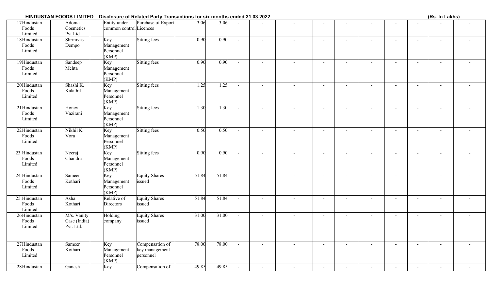## **HINDUSTAN FOODS LIMITED – Disclosure of Related Party Transactions for six months ended 31.03.2022**

|  | (Rs. In Lakhs) |  |
|--|----------------|--|
|  |                |  |

| 17Hindustan<br>Foods<br>Limited   | Adonia<br>Cosmetics<br>Pvt Ltd           | Entity under<br>common control Licences | Purchase of Export                             | 3.06  | 3.06  |        |                          |                          |                          |                          |                |                          |                          |                          |                          |
|-----------------------------------|------------------------------------------|-----------------------------------------|------------------------------------------------|-------|-------|--------|--------------------------|--------------------------|--------------------------|--------------------------|----------------|--------------------------|--------------------------|--------------------------|--------------------------|
| 18Hindustan<br>Foods<br>Limited   | Shrinivas<br>Dempo                       | Key<br>Management<br>Personnel<br>(KMP) | Sitting fees                                   | 0.90  | 0.90  | $\sim$ | $\sim$                   | $\overline{\phantom{a}}$ |                          | $\blacksquare$           | $\blacksquare$ | $\sim$                   | $\sim$                   | $\sim$                   |                          |
| 19Hindustan<br>Foods<br>Limited   | Sandeep<br>Mehta                         | Key<br>Management<br>Personnel<br>(KMP) | Sitting fees                                   | 0.90  | 0.90  | $\sim$ | $\sim$                   | $\overline{\phantom{a}}$ | $\overline{\phantom{a}}$ | $\sim$                   | $\blacksquare$ | $\overline{\phantom{a}}$ | $\sim$                   | $\blacksquare$           | $\overline{\phantom{a}}$ |
| 20Hindustan<br>Foods<br>Limited   | Shashi K.<br>Kalathil                    | Key<br>Management<br>Personnel<br>(KMP) | <b>Sitting fees</b>                            | 1.25  | 1.25  | $\sim$ | $\sim$                   | $\overline{a}$           | $\sim$                   | $\blacksquare$           | $\sim$         | $\sim$                   | $\sim$                   | $\sim$                   |                          |
| 21 Hindustan<br>Foods<br>Limited  | Honey<br>Vazirani                        | Key<br>Management<br>Personnel<br>(KMP) | <b>Sitting fees</b>                            | 1.30  | 1.30  | $\sim$ | $\sim$                   | $\blacksquare$           | $\overline{\phantom{a}}$ |                          | $\blacksquare$ | $\sim$                   | $\blacksquare$           | $\blacksquare$           |                          |
| 22Hindustan<br>Foods<br>Limited   | Nikhil K<br>Vora                         | Key<br>Management<br>Personnel<br>(KMP) | Sitting fees                                   | 0.50  | 0.50  | $\sim$ | $\sim$                   | $\overline{a}$           | $\sim$                   | $\sim$                   |                | $\sim$                   | $\overline{a}$           | $\sim$                   |                          |
| 23. Hindustan<br>Foods<br>Limited | Neeraj<br>Chandra                        | Key<br>Management<br>Personnel<br>(KMP) | Sitting fees                                   | 0.90  | 0.90  | $\sim$ | $\sim$                   | $\sim$                   | $\sim$                   | $\sim$                   |                | $\sim$                   | $\sim$                   | $\sim$                   |                          |
| 24. Hindustan<br>Foods<br>Limited | Sameer<br>Kothari                        | Key<br>Management<br>Personnel<br>(KMP) | <b>Equity Shares</b><br>issued                 | 51.84 | 51.84 | $\sim$ | $\sim$                   | $\sim$                   | $\overline{\phantom{a}}$ | $\blacksquare$           | $\blacksquare$ | $\blacksquare$           | $\blacksquare$           | $\blacksquare$           | $\blacksquare$           |
| 25. Hindustan<br>Foods<br>Limited | Asha<br>Kothari                          | Relative of<br><b>Directors</b>         | <b>Equity Shares</b><br>issued                 | 51.84 | 51.84 | $\sim$ | $\sim$                   | $\overline{\phantom{a}}$ | $\overline{\phantom{a}}$ | $\sim$                   | $\blacksquare$ | $\sim$                   | $\sim$                   | $\sim$                   | $\overline{\phantom{a}}$ |
| 26Hindustan<br>Foods<br>Limited   | M/s. Vanity<br>Case (India)<br>Pvt. Ltd. | Holding<br>company                      | <b>Equity Shares</b><br>issued                 | 31.00 | 31.00 | $\sim$ | $\sim$                   | $\sim$                   | $\sim$                   |                          | $\overline{a}$ | $\blacksquare$           | $\blacksquare$           | $\blacksquare$           |                          |
| 27Hindustan<br>Foods<br>Limited   | Sameer<br>Kothari                        | Key<br>Management<br>Personnel<br>(KMP) | Compensation of<br>key management<br>personnel | 78.00 | 78.00 | $\sim$ | $\overline{\phantom{a}}$ |                          | $\overline{\phantom{a}}$ |                          |                | $\overline{\phantom{a}}$ | $\overline{\phantom{a}}$ | $\overline{\phantom{a}}$ |                          |
| 28Hindustan                       | Ganesh                                   | Key                                     | Compensation of                                | 49.85 | 49.85 | $\sim$ |                          | $\blacksquare$           |                          | $\overline{\phantom{a}}$ | $\blacksquare$ | $\blacksquare$           | $\blacksquare$           |                          |                          |